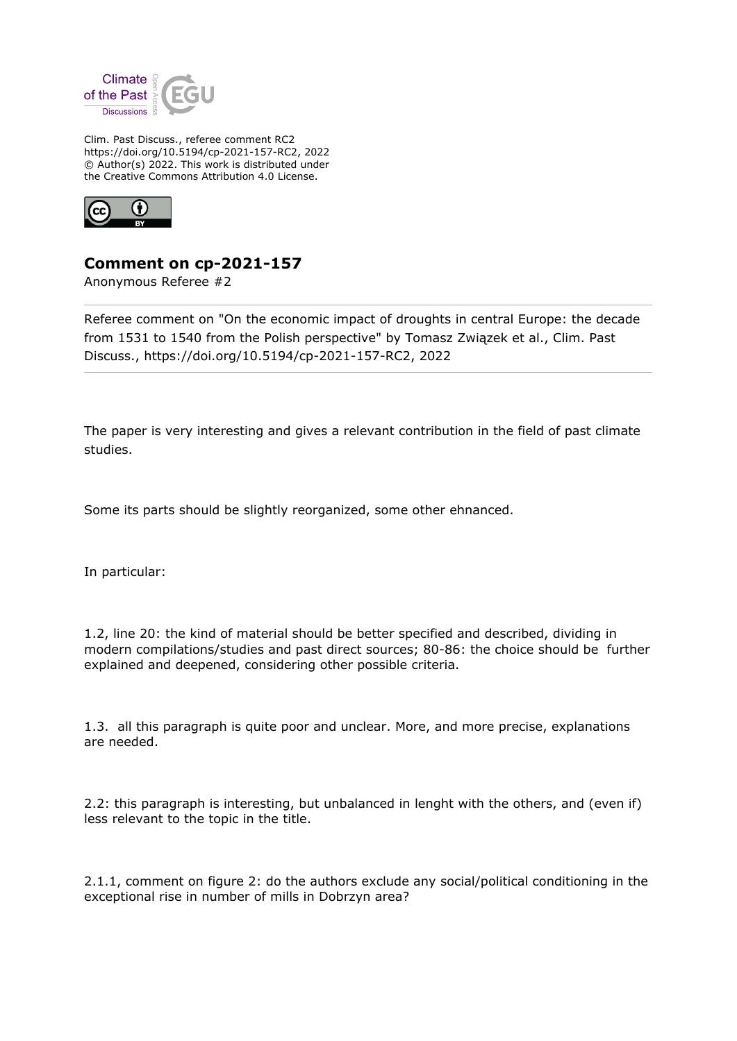

Clim. Past Discuss., referee comment RC2 https://doi.org/10.5194/cp-2021-157-RC2, 2022 © Author(s) 2022. This work is distributed under the Creative Commons Attribution 4.0 License.



## **Comment on cp-2021-157**

Anonymous Referee #2

Referee comment on "On the economic impact of droughts in central Europe: the decade from 1531 to 1540 from the Polish perspective" by Tomasz Związek et al., Clim. Past Discuss., https://doi.org/10.5194/cp-2021-157-RC2, 2022

The paper is very interesting and gives a relevant contribution in the field of past climate studies.

Some its parts should be slightly reorganized, some other ehnanced.

In particular:

1.2, line 20: the kind of material should be better specified and described, dividing in modern compilations/studies and past direct sources; 80-86: the choice should be further explained and deepened, considering other possible criteria.

1.3. all this paragraph is quite poor and unclear. More, and more precise, explanations are needed.

2.2: this paragraph is interesting, but unbalanced in lenght with the others, and (even if) less relevant to the topic in the title.

2.1.1, comment on figure 2: do the authors exclude any social/political conditioning in the exceptional rise in number of mills in Dobrzyn area?